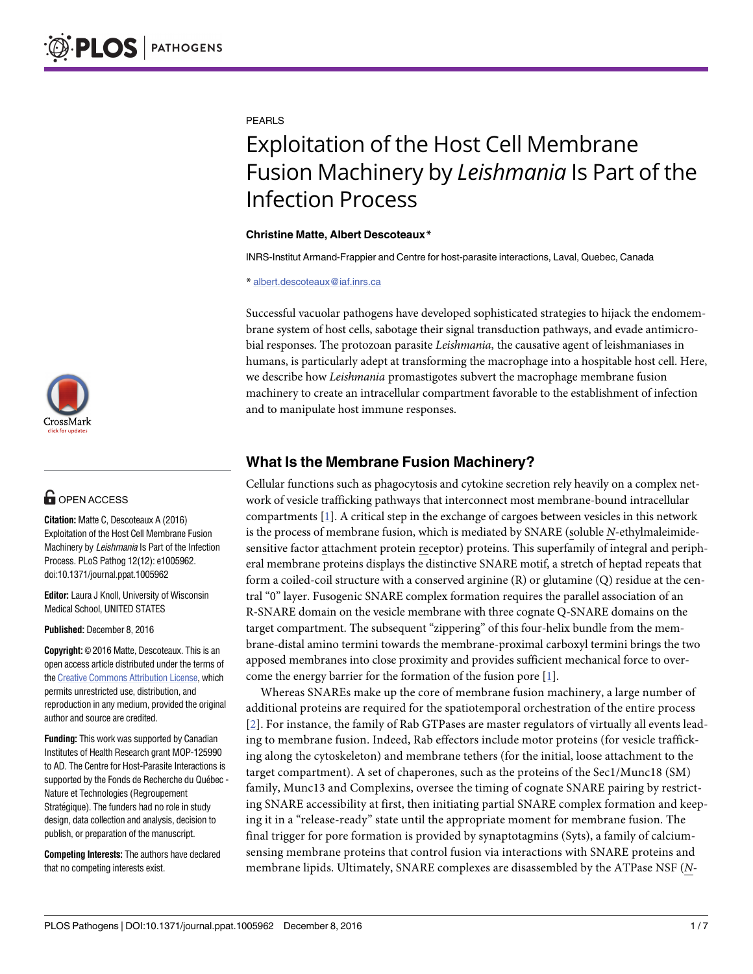

# **G** OPEN ACCESS

**Citation:** Matte C, Descoteaux A (2016) Exploitation of the Host Cell Membrane Fusion Machinery by Leishmania Is Part of the Infection Process. PLoS Pathog 12(12): e1005962. doi:10.1371/journal.ppat.1005962

**Editor:** Laura J Knoll, University of Wisconsin Medical School, UNITED STATES

**Published:** December 8, 2016

**Copyright:** © 2016 Matte, Descoteaux. This is an open access article distributed under the terms of the Creative [Commons](http://creativecommons.org/licenses/by/4.0/) Attribution License, which permits unrestricted use, distribution, and reproduction in any medium, provided the original author and source are credited.

**Funding:** This work was supported by Canadian Institutes of Health Research grant MOP-125990 to AD. The Centre for Host-Parasite Interactions is supported by the Fonds de Recherche du Québec -Nature et Technologies (Regroupement Stratégique). The funders had no role in study design, data collection and analysis, decision to publish, or preparation of the manuscript.

**Competing Interests:** The authors have declared that no competing interests exist.

<span id="page-0-0"></span>PEARLS

# Exploitation of the Host Cell Membrane Fusion Machinery by *Leishmania* Is Part of the Infection Process

#### **Christine Matte, Albert Descoteaux\***

INRS-Institut Armand-Frappier and Centre for host-parasite interactions, Laval, Quebec, Canada

\* albert.descoteaux@iaf.inrs.ca

Successful vacuolar pathogens have developed sophisticated strategies to hijack the endomembrane system of host cells, sabotage their signal transduction pathways, and evade antimicrobial responses. The protozoan parasite *Leishmania*, the causative agent of leishmaniases in humans, is particularly adept at transforming the macrophage into a hospitable host cell. Here, we describe how *Leishmania* promastigotes subvert the macrophage membrane fusion machinery to create an intracellular compartment favorable to the establishment of infection and to manipulate host immune responses.

# **What Is the Membrane Fusion Machinery?**

Cellular functions such as phagocytosis and cytokine secretion rely heavily on a complex network of vesicle trafficking pathways that interconnect most membrane-bound intracellular compartments [[1\]](#page-5-0). A critical step in the exchange of cargoes between vesicles in this network is the process of membrane fusion, which is mediated by SNARE (soluble *N*-ethylmaleimidesensitive factor attachment protein receptor) proteins. This superfamily of integral and peripheral membrane proteins displays the distinctive SNARE motif, a stretch of heptad repeats that form a coiled-coil structure with a conserved arginine (R) or glutamine (Q) residue at the central "0" layer. Fusogenic SNARE complex formation requires the parallel association of an R-SNARE domain on the vesicle membrane with three cognate Q-SNARE domains on the target compartment. The subsequent "zippering" of this four-helix bundle from the membrane-distal amino termini towards the membrane-proximal carboxyl termini brings the two apposed membranes into close proximity and provides sufficient mechanical force to overcome the energy barrier for the formation of the fusion pore [\[1](#page-5-0)].

Whereas SNAREs make up the core of membrane fusion machinery, a large number of additional proteins are required for the spatiotemporal orchestration of the entire process [[2](#page-5-0)]. For instance, the family of Rab GTPases are master regulators of virtually all events leading to membrane fusion. Indeed, Rab effectors include motor proteins (for vesicle trafficking along the cytoskeleton) and membrane tethers (for the initial, loose attachment to the target compartment). A set of chaperones, such as the proteins of the Sec1/Munc18 (SM) family, Munc13 and Complexins, oversee the timing of cognate SNARE pairing by restricting SNARE accessibility at first, then initiating partial SNARE complex formation and keeping it in a "release-ready" state until the appropriate moment for membrane fusion. The final trigger for pore formation is provided by synaptotagmins (Syts), a family of calciumsensing membrane proteins that control fusion via interactions with SNARE proteins and membrane lipids. Ultimately, SNARE complexes are disassembled by the ATPase NSF (*N*-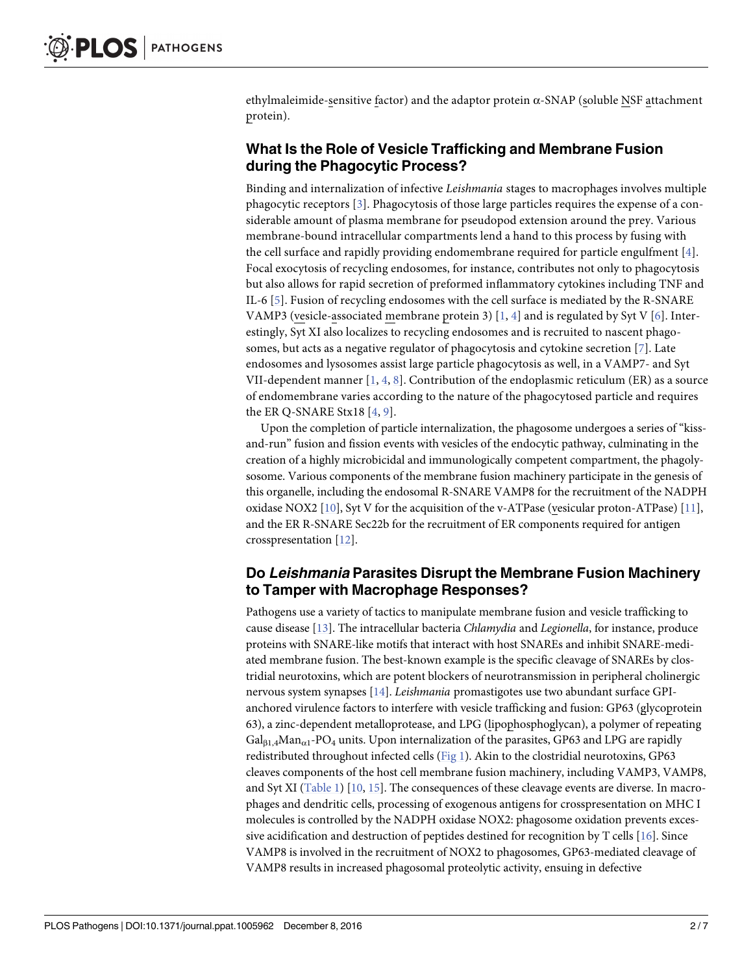<span id="page-1-0"></span>ethylmaleimide-sensitive factor) and the adaptor protein  $\alpha$ -SNAP (soluble NSF attachment protein).

## **What Is the Role of Vesicle Trafficking and Membrane Fusion during the Phagocytic Process?**

Binding and internalization of infective *Leishmania* stages to macrophages involves multiple phagocytic receptors [\[3\]](#page-5-0). Phagocytosis of those large particles requires the expense of a considerable amount of plasma membrane for pseudopod extension around the prey. Various membrane-bound intracellular compartments lend a hand to this process by fusing with the cell surface and rapidly providing endomembrane required for particle engulfment [[4\]](#page-5-0). Focal exocytosis of recycling endosomes, for instance, contributes not only to phagocytosis but also allows for rapid secretion of preformed inflammatory cytokines including TNF and IL-6 [\[5](#page-5-0)]. Fusion of recycling endosomes with the cell surface is mediated by the R-SNARE VAMP3 (vesicle-associated membrane protein 3)  $[1, 4]$  $[1, 4]$  $[1, 4]$  and is regulated by Syt V  $[6]$  $[6]$ . Interestingly, Syt XI also localizes to recycling endosomes and is recruited to nascent phagosomes, but acts as a negative regulator of phagocytosis and cytokine secretion [\[7](#page-5-0)]. Late endosomes and lysosomes assist large particle phagocytosis as well, in a VAMP7- and Syt VII-dependent manner  $[1, 4, 8]$  $[1, 4, 8]$  $[1, 4, 8]$  $[1, 4, 8]$  $[1, 4, 8]$  $[1, 4, 8]$ . Contribution of the endoplasmic reticulum (ER) as a source of endomembrane varies according to the nature of the phagocytosed particle and requires the ER Q-SNARE Stx18 [\[4](#page-5-0), [9\]](#page-5-0).

Upon the completion of particle internalization, the phagosome undergoes a series of "kissand-run" fusion and fission events with vesicles of the endocytic pathway, culminating in the creation of a highly microbicidal and immunologically competent compartment, the phagolysosome. Various components of the membrane fusion machinery participate in the genesis of this organelle, including the endosomal R-SNARE VAMP8 for the recruitment of the NADPH oxidase NOX2 [[10](#page-5-0)], Syt V for the acquisition of the v-ATPase (vesicular proton-ATPase) [[11](#page-5-0)], and the ER R-SNARE Sec22b for the recruitment of ER components required for antigen crosspresentation [[12](#page-5-0)].

## **Do Leishmania Parasites Disrupt the Membrane Fusion Machinery to Tamper with Macrophage Responses?**

Pathogens use a variety of tactics to manipulate membrane fusion and vesicle trafficking to cause disease [\[13\]](#page-5-0). The intracellular bacteria *Chlamydia* and *Legionella*, for instance, produce proteins with SNARE-like motifs that interact with host SNAREs and inhibit SNARE-mediated membrane fusion. The best-known example is the specific cleavage of SNAREs by clostridial neurotoxins, which are potent blockers of neurotransmission in peripheral cholinergic nervous system synapses [[14](#page-5-0)]. *Leishmania* promastigotes use two abundant surface GPIanchored virulence factors to interfere with vesicle trafficking and fusion: GP63 (glycoprotein 63), a zinc-dependent metalloprotease, and LPG (lipophosphoglycan), a polymer of repeating  $Gal<sub>B1.4</sub>Man<sub>α1</sub>-PO<sub>4</sub>$  units. Upon internalization of the parasites, GP63 and LPG are rapidly redistributed throughout infected cells ([Fig](#page-2-0) 1). Akin to the clostridial neurotoxins, GP63 cleaves components of the host cell membrane fusion machinery, including VAMP3, VAMP8, and Syt XI [\(Table](#page-3-0) 1) [[10,](#page-5-0) [15\]](#page-5-0). The consequences of these cleavage events are diverse. In macrophages and dendritic cells, processing of exogenous antigens for crosspresentation on MHC I molecules is controlled by the NADPH oxidase NOX2: phagosome oxidation prevents excessive acidification and destruction of peptides destined for recognition by T cells [[16](#page-5-0)]. Since VAMP8 is involved in the recruitment of NOX2 to phagosomes, GP63-mediated cleavage of VAMP8 results in increased phagosomal proteolytic activity, ensuing in defective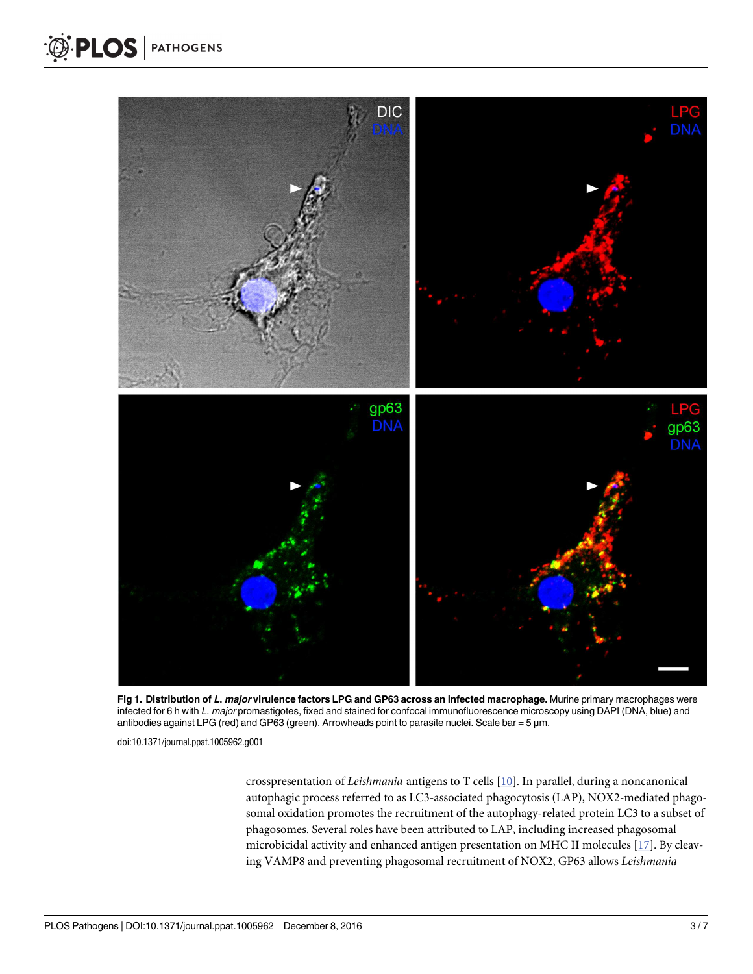<span id="page-2-0"></span>

[Fig](#page-1-0) 1. Distribution of L. major virulence factors LPG and GP63 across an infected macrophage. Murine primary macrophages were infected for 6 h with L. major promastigotes, fixed and stained for confocal immunofluorescence microscopy using DAPI (DNA, blue) and antibodies against LPG (red) and GP63 (green). Arrowheads point to parasite nuclei. Scale bar = 5 μm.

doi:10.1371/journal.ppat.1005962.g001

crosspresentation of *Leishmania* antigens to T cells [\[10\]](#page-5-0). In parallel, during a noncanonical autophagic process referred to as LC3-associated phagocytosis (LAP), NOX2-mediated phagosomal oxidation promotes the recruitment of the autophagy-related protein LC3 to a subset of phagosomes. Several roles have been attributed to LAP, including increased phagosomal microbicidal activity and enhanced antigen presentation on MHC II molecules [[17](#page-5-0)]. By cleaving VAMP8 and preventing phagosomal recruitment of NOX2, GP63 allows *Leishmania*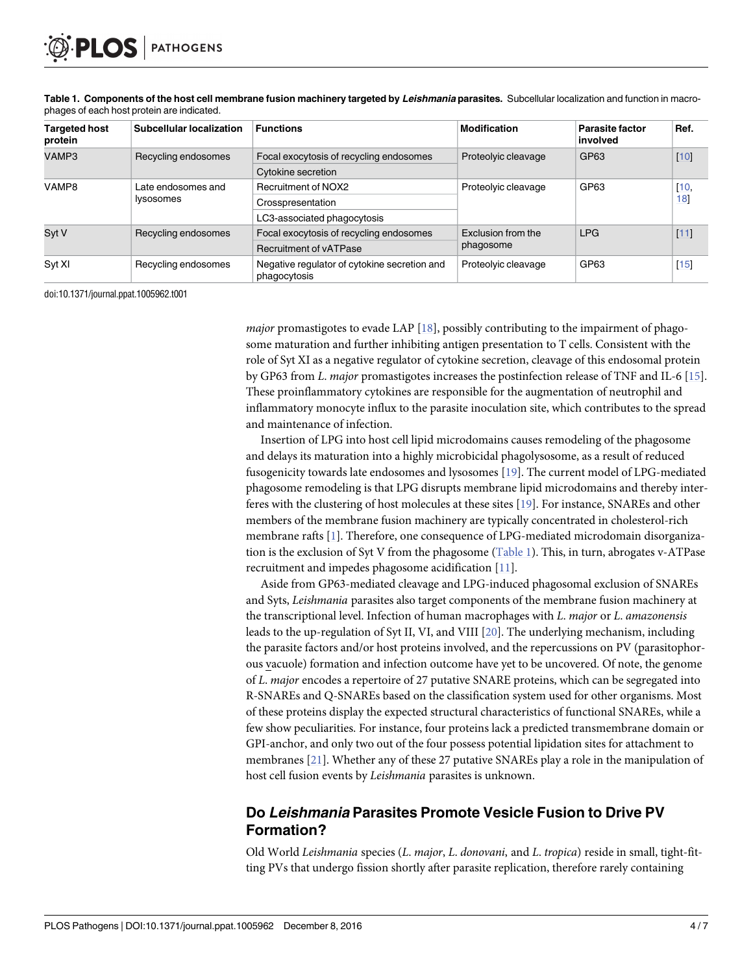| <b>Targeted host</b><br>protein | <b>Subcellular localization</b>        | <b>Functions</b>                                             | <b>Modification</b>             | <b>Parasite factor</b><br>involved | Ref.   |
|---------------------------------|----------------------------------------|--------------------------------------------------------------|---------------------------------|------------------------------------|--------|
| VAMP3                           | Recycling endosomes                    | Focal exocytosis of recycling endosomes                      | Proteolyic cleavage             | GP63                               | $[10]$ |
|                                 |                                        | Cytokine secretion                                           |                                 |                                    |        |
| VAMP8                           | Late endosomes and<br><i>lysosomes</i> | <b>Recruitment of NOX2</b>                                   | Proteolyic cleavage             | GP63                               | [10,   |
|                                 |                                        | Crosspresentation                                            |                                 |                                    | 18     |
|                                 |                                        | LC3-associated phagocytosis                                  |                                 |                                    |        |
| Syt V                           | Recycling endosomes                    | Focal exocytosis of recycling endosomes                      | Exclusion from the<br>phagosome | <b>LPG</b>                         | $[11]$ |
|                                 |                                        | <b>Recruitment of vATPase</b>                                |                                 |                                    |        |
| Syt XI                          | Recycling endosomes                    | Negative regulator of cytokine secretion and<br>phagocytosis | Proteolyic cleavage             | GP63                               | $[15]$ |

<span id="page-3-0"></span>[Table](#page-1-0) 1. Components of the host cell membrane fusion machinery targeted by Leishmania parasites. Subcellular localization and function in macrophages of each host protein are indicated.

doi:10.1371/journal.ppat.1005962.t001

*major* promastigotes to evade LAP [[18](#page-5-0)], possibly contributing to the impairment of phagosome maturation and further inhibiting antigen presentation to T cells. Consistent with the role of Syt XI as a negative regulator of cytokine secretion, cleavage of this endosomal protein by GP63 from *L*. *major* promastigotes increases the postinfection release of TNF and IL-6 [\[15\]](#page-5-0). These proinflammatory cytokines are responsible for the augmentation of neutrophil and inflammatory monocyte influx to the parasite inoculation site, which contributes to the spread and maintenance of infection.

Insertion of LPG into host cell lipid microdomains causes remodeling of the phagosome and delays its maturation into a highly microbicidal phagolysosome, as a result of reduced fusogenicity towards late endosomes and lysosomes [\[19\]](#page-5-0). The current model of LPG-mediated phagosome remodeling is that LPG disrupts membrane lipid microdomains and thereby interferes with the clustering of host molecules at these sites [\[19\]](#page-5-0). For instance, SNAREs and other members of the membrane fusion machinery are typically concentrated in cholesterol-rich membrane rafts [[1\]](#page-5-0). Therefore, one consequence of LPG-mediated microdomain disorganization is the exclusion of Syt V from the phagosome (Table 1). This, in turn, abrogates v-ATPase recruitment and impedes phagosome acidification [[11](#page-5-0)].

Aside from GP63-mediated cleavage and LPG-induced phagosomal exclusion of SNAREs and Syts, *Leishmania* parasites also target components of the membrane fusion machinery at the transcriptional level. Infection of human macrophages with *L*. *major* or *L*. *amazonensis* leads to the up-regulation of Syt II, VI, and VIII [[20](#page-5-0)]. The underlying mechanism, including the parasite factors and/or host proteins involved, and the repercussions on PV (parasitophorous vacuole) formation and infection outcome have yet to be uncovered. Of note, the genome of *L*. *major* encodes a repertoire of 27 putative SNARE proteins, which can be segregated into R-SNAREs and Q-SNAREs based on the classification system used for other organisms. Most of these proteins display the expected structural characteristics of functional SNAREs, while a few show peculiarities. For instance, four proteins lack a predicted transmembrane domain or GPI-anchor, and only two out of the four possess potential lipidation sites for attachment to membranes [[21](#page-6-0)]. Whether any of these 27 putative SNAREs play a role in the manipulation of host cell fusion events by *Leishmania* parasites is unknown.

#### **Do Leishmania Parasites Promote Vesicle Fusion to Drive PV Formation?**

Old World *Leishmania* species (*L*. *major*, *L*. *donovani*, and *L*. *tropica*) reside in small, tight-fitting PVs that undergo fission shortly after parasite replication, therefore rarely containing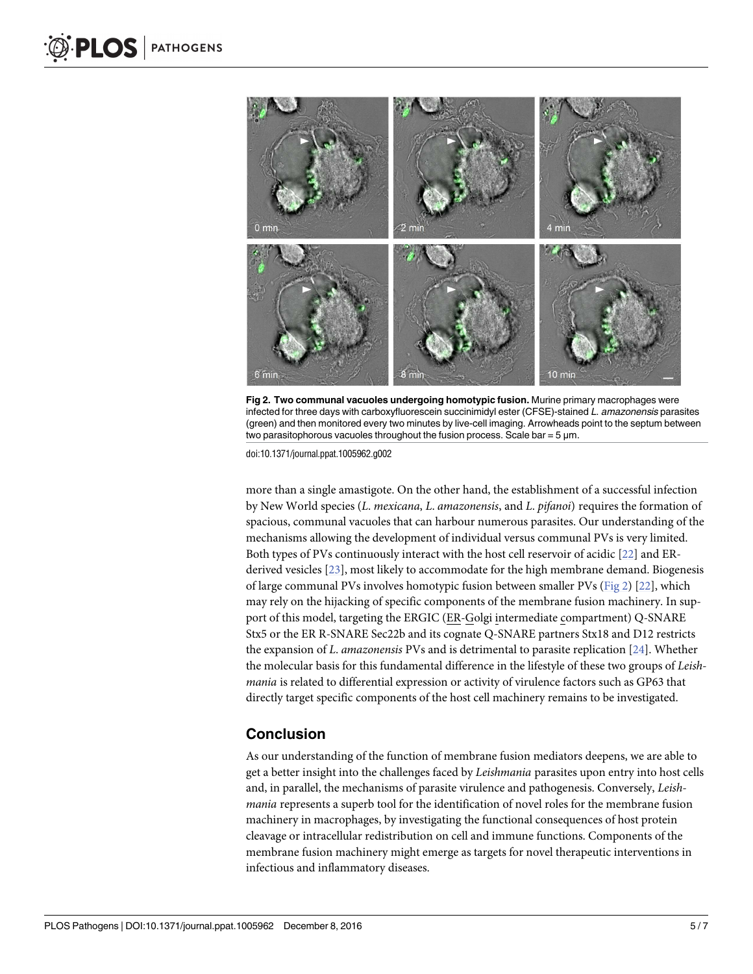<span id="page-4-0"></span>

**Fig 2. Two communal vacuoles undergoing homotypic fusion.** Murine primary macrophages were infected for three days with carboxyfluorescein succinimidyl ester (CFSE)-stained L. amazonensis parasites (green) and then monitored every two minutes by live-cell imaging. Arrowheads point to the septum between two parasitophorous vacuoles throughout the fusion process. Scale bar =  $5 \mu m$ .

doi:10.1371/journal.ppat.1005962.g002

more than a single amastigote. On the other hand, the establishment of a successful infection by New World species (*L*. *mexicana*, *L*. *amazonensis*, and *L*. *pifanoi*) requires the formation of spacious, communal vacuoles that can harbour numerous parasites. Our understanding of the mechanisms allowing the development of individual versus communal PVs is very limited. Both types of PVs continuously interact with the host cell reservoir of acidic [\[22\]](#page-6-0) and ERderived vesicles [\[23\]](#page-6-0), most likely to accommodate for the high membrane demand. Biogenesis of large communal PVs involves homotypic fusion between smaller PVs (Fig 2) [[22](#page-6-0)], which may rely on the hijacking of specific components of the membrane fusion machinery. In support of this model, targeting the ERGIC (ER-Golgi intermediate compartment) Q-SNARE Stx5 or the ER R-SNARE Sec22b and its cognate Q-SNARE partners Stx18 and D12 restricts the expansion of *L*. *amazonensis* PVs and is detrimental to parasite replication [[24](#page-6-0)]. Whether the molecular basis for this fundamental difference in the lifestyle of these two groups of *Leishmania* is related to differential expression or activity of virulence factors such as GP63 that directly target specific components of the host cell machinery remains to be investigated.

#### **Conclusion**

As our understanding of the function of membrane fusion mediators deepens, we are able to get a better insight into the challenges faced by *Leishmania* parasites upon entry into host cells and, in parallel, the mechanisms of parasite virulence and pathogenesis. Conversely, *Leishmania* represents a superb tool for the identification of novel roles for the membrane fusion machinery in macrophages, by investigating the functional consequences of host protein cleavage or intracellular redistribution on cell and immune functions. Components of the membrane fusion machinery might emerge as targets for novel therapeutic interventions in infectious and inflammatory diseases.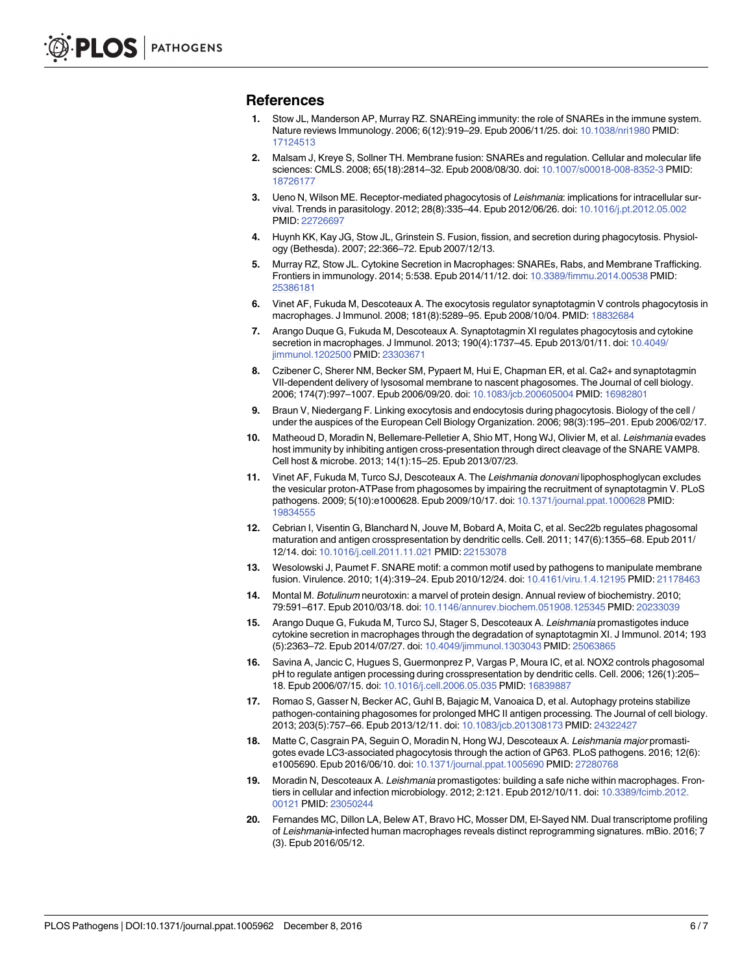#### <span id="page-5-0"></span>**References**

- **[1](#page-0-0).** Stow JL, Manderson AP, Murray RZ. SNAREing immunity: the role of SNAREs in the immune system. Nature reviews Immunology. 2006; 6(12):919–29. Epub 2006/11/25. doi: [10.1038/nri1980](http://dx.doi.org/10.1038/nri1980) PMID: [17124513](http://www.ncbi.nlm.nih.gov/pubmed/17124513)
- **[2](#page-0-0).** Malsam J, Kreye S, Sollner TH. Membrane fusion: SNAREs and regulation. Cellular and molecular life sciences: CMLS. 2008; 65(18):2814–32. Epub 2008/08/30. doi: [10.1007/s00018-008-8352-3](http://dx.doi.org/10.1007/s00018-008-8352-3) PMID: [18726177](http://www.ncbi.nlm.nih.gov/pubmed/18726177)
- **[3](#page-1-0).** Ueno N, Wilson ME. Receptor-mediated phagocytosis of Leishmania: implications for intracellular survival. Trends in parasitology. 2012; 28(8):335–44. Epub 2012/06/26. doi: [10.1016/j.pt.2012.05.002](http://dx.doi.org/10.1016/j.pt.2012.05.002) PMID: [22726697](http://www.ncbi.nlm.nih.gov/pubmed/22726697)
- **[4](#page-1-0).** Huynh KK, Kay JG, Stow JL, Grinstein S. Fusion, fission, and secretion during phagocytosis. Physiology (Bethesda). 2007; 22:366–72. Epub 2007/12/13.
- **[5](#page-1-0).** Murray RZ, Stow JL. Cytokine Secretion in Macrophages: SNAREs, Rabs, and Membrane Trafficking. Frontiers in immunology. 2014; 5:538. Epub 2014/11/12. doi: [10.3389/fimmu.2014.00538](http://dx.doi.org/10.3389/fimmu.2014.00538) PMID: [25386181](http://www.ncbi.nlm.nih.gov/pubmed/25386181)
- **[6](#page-1-0).** Vinet AF, Fukuda M, Descoteaux A. The exocytosis regulator synaptotagmin V controls phagocytosis in macrophages. J Immunol. 2008; 181(8):5289–95. Epub 2008/10/04. PMID: [18832684](http://www.ncbi.nlm.nih.gov/pubmed/18832684)
- **[7](#page-1-0).** Arango Duque G, Fukuda M, Descoteaux A. Synaptotagmin XI regulates phagocytosis and cytokine secretion in macrophages. J Immunol. 2013; 190(4):1737–45. Epub 2013/01/11. doi: [10.4049/](http://dx.doi.org/10.4049/jimmunol.1202500) [jimmunol.1202500](http://dx.doi.org/10.4049/jimmunol.1202500) PMID: [23303671](http://www.ncbi.nlm.nih.gov/pubmed/23303671)
- **[8](#page-1-0).** Czibener C, Sherer NM, Becker SM, Pypaert M, Hui E, Chapman ER, et al. Ca2+ and synaptotagmin VII-dependent delivery of lysosomal membrane to nascent phagosomes. The Journal of cell biology. 2006; 174(7):997–1007. Epub 2006/09/20. doi: [10.1083/jcb.200605004](http://dx.doi.org/10.1083/jcb.200605004) PMID: [16982801](http://www.ncbi.nlm.nih.gov/pubmed/16982801)
- **[9](#page-1-0).** Braun V, Niedergang F. Linking exocytosis and endocytosis during phagocytosis. Biology of the cell / under the auspices of the European Cell Biology Organization. 2006; 98(3):195–201. Epub 2006/02/17.
- **[10](#page-1-0).** Matheoud D, Moradin N, Bellemare-Pelletier A, Shio MT, Hong WJ, Olivier M, et al. Leishmania evades host immunity by inhibiting antigen cross-presentation through direct cleavage of the SNARE VAMP8. Cell host & microbe. 2013; 14(1):15–25. Epub 2013/07/23.
- **[11](#page-1-0).** Vinet AF, Fukuda M, Turco SJ, Descoteaux A. The Leishmania donovani lipophosphoglycan excludes the vesicular proton-ATPase from phagosomes by impairing the recruitment of synaptotagmin V. PLoS pathogens. 2009; 5(10):e1000628. Epub 2009/10/17. doi: [10.1371/journal.ppat.1000628](http://dx.doi.org/10.1371/journal.ppat.1000628) PMID: [19834555](http://www.ncbi.nlm.nih.gov/pubmed/19834555)
- **[12](#page-1-0).** Cebrian I, Visentin G, Blanchard N, Jouve M, Bobard A, Moita C, et al. Sec22b regulates phagosomal maturation and antigen crosspresentation by dendritic cells. Cell. 2011; 147(6):1355–68. Epub 2011/ 12/14. doi: [10.1016/j.cell.2011.11.021](http://dx.doi.org/10.1016/j.cell.2011.11.021) PMID: [22153078](http://www.ncbi.nlm.nih.gov/pubmed/22153078)
- **[13](#page-1-0).** Wesolowski J, Paumet F. SNARE motif: a common motif used by pathogens to manipulate membrane fusion. Virulence. 2010; 1(4):319–24. Epub 2010/12/24. doi: [10.4161/viru.1.4.12195](http://dx.doi.org/10.4161/viru.1.4.12195) PMID: [21178463](http://www.ncbi.nlm.nih.gov/pubmed/21178463)
- **[14](#page-1-0).** Montal M. Botulinum neurotoxin: a marvel of protein design. Annual review of biochemistry. 2010; 79:591–617. Epub 2010/03/18. doi: [10.1146/annurev.biochem.051908.125345](http://dx.doi.org/10.1146/annurev.biochem.051908.125345) PMID: [20233039](http://www.ncbi.nlm.nih.gov/pubmed/20233039)
- **[15](#page-1-0).** Arango Duque G, Fukuda M, Turco SJ, Stager S, Descoteaux A. Leishmania promastigotes induce cytokine secretion in macrophages through the degradation of synaptotagmin XI. J Immunol. 2014; 193 (5):2363–72. Epub 2014/07/27. doi: [10.4049/jimmunol.1303043](http://dx.doi.org/10.4049/jimmunol.1303043) PMID: [25063865](http://www.ncbi.nlm.nih.gov/pubmed/25063865)
- **[16](#page-1-0).** Savina A, Jancic C, Hugues S, Guermonprez P, Vargas P, Moura IC, et al. NOX2 controls phagosomal pH to regulate antigen processing during crosspresentation by dendritic cells. Cell. 2006; 126(1):205– 18. Epub 2006/07/15. doi: [10.1016/j.cell.2006.05.035](http://dx.doi.org/10.1016/j.cell.2006.05.035) PMID: [16839887](http://www.ncbi.nlm.nih.gov/pubmed/16839887)
- **[17](#page-2-0).** Romao S, Gasser N, Becker AC, Guhl B, Bajagic M, Vanoaica D, et al. Autophagy proteins stabilize pathogen-containing phagosomes for prolonged MHC II antigen processing. The Journal of cell biology. 2013; 203(5):757–66. Epub 2013/12/11. doi: [10.1083/jcb.201308173](http://dx.doi.org/10.1083/jcb.201308173) PMID: [24322427](http://www.ncbi.nlm.nih.gov/pubmed/24322427)
- **[18](#page-3-0).** Matte C, Casgrain PA, Seguin O, Moradin N, Hong WJ, Descoteaux A. Leishmania major promastigotes evade LC3-associated phagocytosis through the action of GP63. PLoS pathogens. 2016; 12(6): e1005690. Epub 2016/06/10. doi: [10.1371/journal.ppat.1005690](http://dx.doi.org/10.1371/journal.ppat.1005690) PMID: [27280768](http://www.ncbi.nlm.nih.gov/pubmed/27280768)
- **[19](#page-3-0).** Moradin N, Descoteaux A. Leishmania promastigotes: building a safe niche within macrophages. Frontiers in cellular and infection microbiology. 2012; 2:121. Epub 2012/10/11. doi: [10.3389/fcimb.2012.](http://dx.doi.org/10.3389/fcimb.2012.00121) [00121](http://dx.doi.org/10.3389/fcimb.2012.00121) PMID: [23050244](http://www.ncbi.nlm.nih.gov/pubmed/23050244)
- **[20](#page-3-0).** Fernandes MC, Dillon LA, Belew AT, Bravo HC, Mosser DM, El-Sayed NM. Dual transcriptome profiling of Leishmania-infected human macrophages reveals distinct reprogramming signatures. mBio. 2016; 7 (3). Epub 2016/05/12.